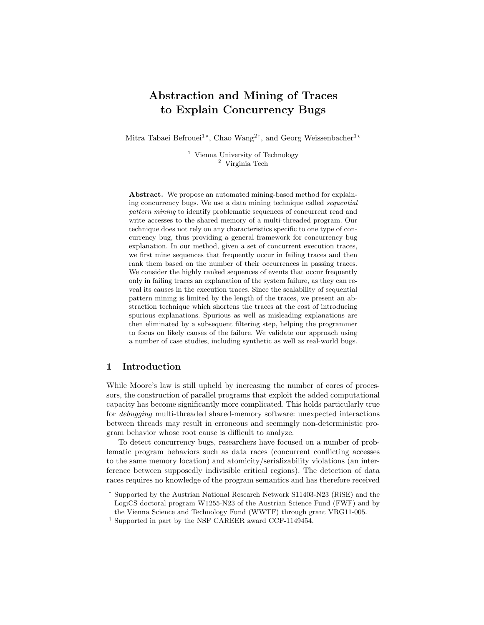# Abstraction and Mining of Traces to Explain Concurrency Bugs

Mitra Tabaei Befrouei<sup>1\*</sup>, Chao Wang<sup>2†</sup>, and Georg Weissenbacher<sup>1</sup>\*

<sup>1</sup> Vienna University of Technology <sup>2</sup> Virginia Tech

Abstract. We propose an automated mining-based method for explaining concurrency bugs. We use a data mining technique called sequential pattern mining to identify problematic sequences of concurrent read and write accesses to the shared memory of a multi-threaded program. Our technique does not rely on any characteristics specific to one type of concurrency bug, thus providing a general framework for concurrency bug explanation. In our method, given a set of concurrent execution traces, we first mine sequences that frequently occur in failing traces and then rank them based on the number of their occurrences in passing traces. We consider the highly ranked sequences of events that occur frequently only in failing traces an explanation of the system failure, as they can reveal its causes in the execution traces. Since the scalability of sequential pattern mining is limited by the length of the traces, we present an abstraction technique which shortens the traces at the cost of introducing spurious explanations. Spurious as well as misleading explanations are then eliminated by a subsequent filtering step, helping the programmer to focus on likely causes of the failure. We validate our approach using a number of case studies, including synthetic as well as real-world bugs.

# 1 Introduction

While Moore's law is still upheld by increasing the number of cores of processors, the construction of parallel programs that exploit the added computational capacity has become significantly more complicated. This holds particularly true for debugging multi-threaded shared-memory software: unexpected interactions between threads may result in erroneous and seemingly non-deterministic program behavior whose root cause is difficult to analyze.

To detect concurrency bugs, researchers have focused on a number of problematic program behaviors such as data races (concurrent conflicting accesses to the same memory location) and atomicity/serializability violations (an interference between supposedly indivisible critical regions). The detection of data races requires no knowledge of the program semantics and has therefore received

<sup>∗</sup> Supported by the Austrian National Research Network S11403-N23 (RiSE) and the LogiCS doctoral program W1255-N23 of the Austrian Science Fund (FWF) and by

the Vienna Science and Technology Fund (WWTF) through grant VRG11-005.

<sup>†</sup> Supported in part by the NSF CAREER award CCF-1149454.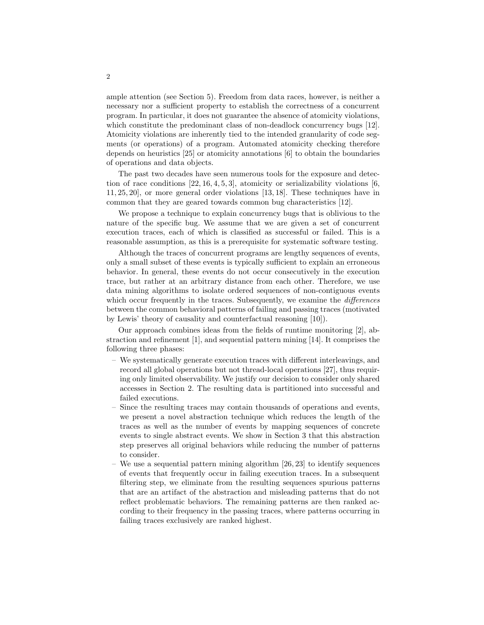ample attention (see Section 5). Freedom from data races, however, is neither a necessary nor a sufficient property to establish the correctness of a concurrent program. In particular, it does not guarantee the absence of atomicity violations, which constitute the predominant class of non-deadlock concurrency bugs [12]. Atomicity violations are inherently tied to the intended granularity of code segments (or operations) of a program. Automated atomicity checking therefore depends on heuristics [25] or atomicity annotations [6] to obtain the boundaries of operations and data objects.

The past two decades have seen numerous tools for the exposure and detection of race conditions  $[22, 16, 4, 5, 3]$ , atomicity or serializability violations  $[6, 6]$ 11, 25, 20], or more general order violations [13, 18]. These techniques have in common that they are geared towards common bug characteristics [12].

We propose a technique to explain concurrency bugs that is oblivious to the nature of the specific bug. We assume that we are given a set of concurrent execution traces, each of which is classified as successful or failed. This is a reasonable assumption, as this is a prerequisite for systematic software testing.

Although the traces of concurrent programs are lengthy sequences of events, only a small subset of these events is typically sufficient to explain an erroneous behavior. In general, these events do not occur consecutively in the execution trace, but rather at an arbitrary distance from each other. Therefore, we use data mining algorithms to isolate ordered sequences of non-contiguous events which occur frequently in the traces. Subsequently, we examine the *differences* between the common behavioral patterns of failing and passing traces (motivated by Lewis' theory of causality and counterfactual reasoning [10]).

Our approach combines ideas from the fields of runtime monitoring [2], abstraction and refinement [1], and sequential pattern mining [14]. It comprises the following three phases:

- We systematically generate execution traces with different interleavings, and record all global operations but not thread-local operations [27], thus requiring only limited observability. We justify our decision to consider only shared accesses in Section 2. The resulting data is partitioned into successful and failed executions.
- Since the resulting traces may contain thousands of operations and events, we present a novel abstraction technique which reduces the length of the traces as well as the number of events by mapping sequences of concrete events to single abstract events. We show in Section 3 that this abstraction step preserves all original behaviors while reducing the number of patterns to consider.
- We use a sequential pattern mining algorithm  $[26, 23]$  to identify sequences of events that frequently occur in failing execution traces. In a subsequent filtering step, we eliminate from the resulting sequences spurious patterns that are an artifact of the abstraction and misleading patterns that do not reflect problematic behaviors. The remaining patterns are then ranked according to their frequency in the passing traces, where patterns occurring in failing traces exclusively are ranked highest.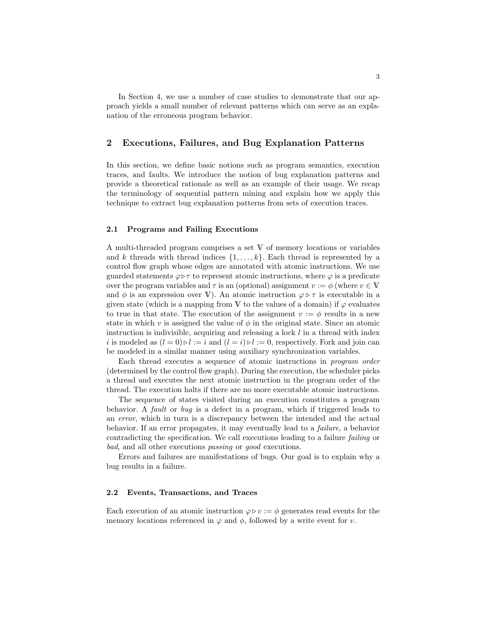In Section 4, we use a number of case studies to demonstrate that our approach yields a small number of relevant patterns which can serve as an explanation of the erroneous program behavior.

# 2 Executions, Failures, and Bug Explanation Patterns

In this section, we define basic notions such as program semantics, execution traces, and faults. We introduce the notion of bug explanation patterns and provide a theoretical rationale as well as an example of their usage. We recap the terminology of sequential pattern mining and explain how we apply this technique to extract bug explanation patterns from sets of execution traces.

#### 2.1 Programs and Failing Executions

A multi-threaded program comprises a set V of memory locations or variables and k threads with thread indices  $\{1, \ldots, k\}$ . Each thread is represented by a control flow graph whose edges are annotated with atomic instructions. We use guarded statements  $\varphi \triangleright \tau$  to represent atomic instructions, where  $\varphi$  is a predicate over the program variables and  $\tau$  is an (optional) assignment  $v := \phi$  (where  $v \in V$ and  $\phi$  is an expression over V). An atomic instruction  $\varphi \triangleright \tau$  is executable in a given state (which is a mapping from V to the values of a domain) if  $\varphi$  evaluates to true in that state. The execution of the assignment  $v := \phi$  results in a new state in which v is assigned the value of  $\phi$  in the original state. Since an atomic instruction is indivisible, acquiring and releasing a lock  $l$  in a thread with index i is modeled as  $(l = 0) \triangleright l := i$  and  $(l = i) \triangleright l := 0$ , respectively. Fork and join can be modeled in a similar manner using auxiliary synchronization variables.

Each thread executes a sequence of atomic instructions in program order (determined by the control flow graph). During the execution, the scheduler picks a thread and executes the next atomic instruction in the program order of the thread. The execution halts if there are no more executable atomic instructions.

The sequence of states visited during an execution constitutes a program behavior. A fault or bug is a defect in a program, which if triggered leads to an error, which in turn is a discrepancy between the intended and the actual behavior. If an error propagates, it may eventually lead to a failure, a behavior contradicting the specification. We call executions leading to a failure failing or bad, and all other executions passing or good executions.

Errors and failures are manifestations of bugs. Our goal is to explain why a bug results in a failure.

#### 2.2 Events, Transactions, and Traces

Each execution of an atomic instruction  $\varphi \triangleright v := \phi$  generates read events for the memory locations referenced in  $\varphi$  and  $\phi$ , followed by a write event for v.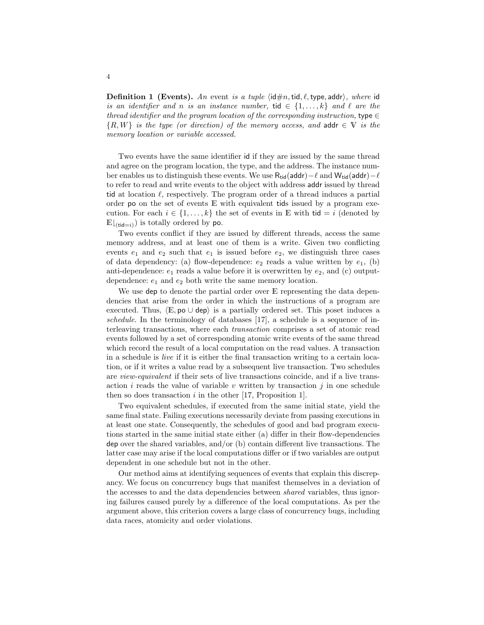**Definition 1 (Events).** An event is a tuple  $\langle \text{id} \#n, \text{tid}, \ell, \text{type}, \text{addr} \rangle$ , where id is an identifier and n is an instance number, tid  $\in \{1, \ldots, k\}$  and  $\ell$  are the thread identifier and the program location of the corresponding instruction, type  $\in$  ${R, W}$  is the type (or direction) of the memory access, and addr  $\in V$  is the memory location or variable accessed.

Two events have the same identifier id if they are issued by the same thread and agree on the program location, the type, and the address. The instance number enables us to distinguish these events. We use  $R_{tid}(\text{addr})-\ell$  and  $W_{tid}(\text{addr})-\ell$ to refer to read and write events to the object with address addr issued by thread tid at location  $\ell$ , respectively. The program order of a thread induces a partial order po on the set of events E with equivalent tids issued by a program execution. For each  $i \in \{1, ..., k\}$  the set of events in E with tid = i (denoted by  $\mathbb{E}|_{(\text{tid}=i)})$  is totally ordered by po.

Two events conflict if they are issued by different threads, access the same memory address, and at least one of them is a write. Given two conflicting events  $e_1$  and  $e_2$  such that  $e_1$  is issued before  $e_2$ , we distinguish three cases of data dependency: (a) flow-dependence:  $e_2$  reads a value written by  $e_1$ , (b) anti-dependence:  $e_1$  reads a value before it is overwritten by  $e_2$ , and (c) outputdependence:  $e_1$  and  $e_2$  both write the same memory location.

We use dep to denote the partial order over  $E$  representing the data dependencies that arise from the order in which the instructions of a program are executed. Thus,  $\langle \mathbb{E}, \mathsf{po} \cup \mathsf{dep} \rangle$  is a partially ordered set. This poset induces a schedule. In the terminology of databases [17], a schedule is a sequence of interleaving transactions, where each transaction comprises a set of atomic read events followed by a set of corresponding atomic write events of the same thread which record the result of a local computation on the read values. A transaction in a schedule is live if it is either the final transaction writing to a certain location, or if it writes a value read by a subsequent live transaction. Two schedules are view-equivalent if their sets of live transactions coincide, and if a live transaction i reads the value of variable  $v$  written by transaction  $j$  in one schedule then so does transaction  $i$  in the other [17, Proposition 1].

Two equivalent schedules, if executed from the same initial state, yield the same final state. Failing executions necessarily deviate from passing executions in at least one state. Consequently, the schedules of good and bad program executions started in the same initial state either (a) differ in their flow-dependencies dep over the shared variables, and/or (b) contain different live transactions. The latter case may arise if the local computations differ or if two variables are output dependent in one schedule but not in the other.

Our method aims at identifying sequences of events that explain this discrepancy. We focus on concurrency bugs that manifest themselves in a deviation of the accesses to and the data dependencies between shared variables, thus ignoring failures caused purely by a difference of the local computations. As per the argument above, this criterion covers a large class of concurrency bugs, including data races, atomicity and order violations.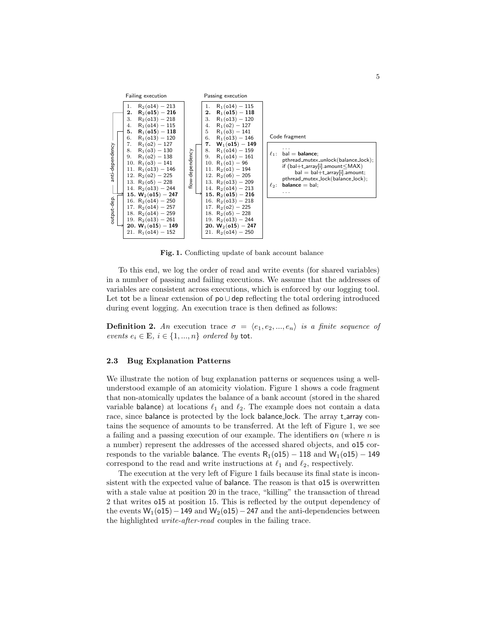

Fig. 1. Conflicting update of bank account balance

To this end, we log the order of read and write events (for shared variables) in a number of passing and failing executions. We assume that the addresses of variables are consistent across executions, which is enforced by our logging tool. Let tot be a linear extension of po ∪ dep reflecting the total ordering introduced during event logging. An execution trace is then defined as follows:

**Definition 2.** An execution trace  $\sigma = \langle e_1, e_2, ..., e_n \rangle$  is a finite sequence of events  $e_i \in \mathbb{E}, i \in \{1, ..., n\}$  ordered by tot.

#### 2.3 Bug Explanation Patterns

We illustrate the notion of bug explanation patterns or sequences using a wellunderstood example of an atomicity violation. Figure 1 shows a code fragment that non-atomically updates the balance of a bank account (stored in the shared variable balance) at locations  $\ell_1$  and  $\ell_2$ . The example does not contain a data race, since balance is protected by the lock balance\_lock. The array t\_array contains the sequence of amounts to be transferred. At the left of Figure 1, we see a failing and a passing execution of our example. The identifiers on (where  $n$  is a number) represent the addresses of the accessed shared objects, and o15 corresponds to the variable balance. The events  $R_1$ (o15) – 118 and W<sub>1</sub>(o15) – 149 correspond to the read and write instructions at  $\ell_1$  and  $\ell_2$ , respectively.

The execution at the very left of Figure 1 fails because its final state is inconsistent with the expected value of balance. The reason is that o15 is overwritten with a stale value at position 20 in the trace, "killing" the transaction of thread 2 that writes o15 at position 15. This is reflected by the output dependency of the events  $W_1$ (o15) − 149 and  $W_2$ (o15) − 247 and the anti-dependencies between the highlighted write-after-read couples in the failing trace.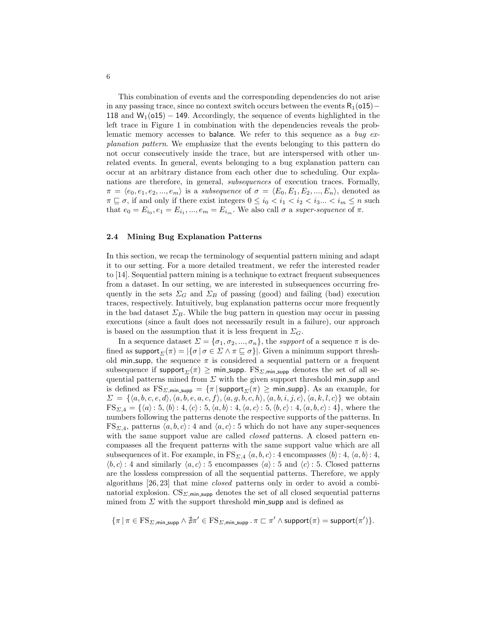This combination of events and the corresponding dependencies do not arise in any passing trace, since no context switch occurs between the events  $R_1$ (o15)− 118 and  $W_1$ (o15) – 149. Accordingly, the sequence of events highlighted in the left trace in Figure 1 in combination with the dependencies reveals the problematic memory accesses to balance. We refer to this sequence as a bug explanation pattern. We emphasize that the events belonging to this pattern do not occur consecutively inside the trace, but are interspersed with other unrelated events. In general, events belonging to a bug explanation pattern can occur at an arbitrary distance from each other due to scheduling. Our explanations are therefore, in general, subsequences of execution traces. Formally,  $\pi = \langle e_0, e_1, e_2, ..., e_m \rangle$  is a subsequence of  $\sigma = \langle E_0, E_1, E_2, ..., E_n \rangle$ , denoted as  $\pi \sqsubseteq \sigma$ , if and only if there exist integers  $0 \leq i_0 < i_1 < i_2 < i_3... < i_m \leq n$  such that  $e_0 = E_{i_0}, e_1 = E_{i_1}, \dots, e_m = E_{i_m}$ . We also call  $\sigma$  a super-sequence of  $\pi$ .

#### 2.4 Mining Bug Explanation Patterns

In this section, we recap the terminology of sequential pattern mining and adapt it to our setting. For a more detailed treatment, we refer the interested reader to [14]. Sequential pattern mining is a technique to extract frequent subsequences from a dataset. In our setting, we are interested in subsequences occurring frequently in the sets  $\Sigma_G$  and  $\Sigma_B$  of passing (good) and failing (bad) execution traces, respectively. Intuitively, bug explanation patterns occur more frequently in the bad dataset  $\Sigma_B$ . While the bug pattern in question may occur in passing executions (since a fault does not necessarily result in a failure), our approach is based on the assumption that it is less frequent in  $\Sigma_G$ .

In a sequence dataset  $\Sigma = {\sigma_1, \sigma_2, ..., \sigma_n}$ , the support of a sequence  $\pi$  is defined as support  $\chi(\pi) = |\{\sigma | \sigma \in \Sigma \land \pi \sqsubseteq \sigma\}|$ . Given a minimum support threshold min supp, the sequence  $\pi$  is considered a sequential pattern or a frequent subsequence if support<sub> $\Sigma(\pi) \geq \min$ -supp. FS<sub> $\Sigma$ ,min-supp</sub> denotes the set of all se-</sub> quential patterns mined from  $\Sigma$  with the given support threshold min supp and is defined as  $\text{FS}_{\Sigma,\text{min\_supp}} = {\pi | \text{support}_{\Sigma}(\pi) \ge \text{min\_supp}}$ . As an example, for  $\Sigma = \{\langle a,b,c,e,d \rangle, \langle a,b,e,a,c,f \rangle, \langle a,g,b,c,h \rangle, \langle a,b,i,j,c \rangle, \langle a,k,l,c \rangle\}$  we obtain  $\text{FS}_{\Sigma,4} = \{\langle a \rangle: 5,\langle b \rangle: 4,\langle c \rangle: 5,\langle a,b \rangle: 4,\langle a,c \rangle: 5,\langle b,c \rangle: 4,\langle a,b,c \rangle: 4\},\$  where the numbers following the patterns denote the respective supports of the patterns. In  $\text{FS}_{\Sigma, 4}$ , patterns  $\langle a, b, c \rangle$ : 4 and  $\langle a, c \rangle$ : 5 which do not have any super-sequences with the same support value are called *closed* patterns. A closed pattern encompasses all the frequent patterns with the same support value which are all subsequences of it. For example, in  $\text{FS}_{\Sigma,4}$   $\langle a, b, c \rangle$ : 4 encompasses  $\langle b \rangle$ : 4,  $\langle a, b \rangle$ : 4,  $\langle b, c \rangle$ : 4 and similarly  $\langle a, c \rangle$ : 5 encompasses  $\langle a \rangle$ : 5 and  $\langle c \rangle$ : 5. Closed patterns are the lossless compression of all the sequential patterns. Therefore, we apply algorithms [26, 23] that mine closed patterns only in order to avoid a combinatorial explosion.  $CS_{\Sigma,\text{min\_supp}}$  denotes the set of all closed sequential patterns mined from  $\Sigma$  with the support threshold min supp and is defined as

$$
\{\pi \mid \pi \in \mathrm{FS}_{\Sigma, \min \text{supp}} \land \nexists \pi' \in \mathrm{FS}_{\Sigma, \min \text{supp}} \cdot \pi \sqsubset \pi' \land \text{support}(\pi) = \text{support}(\pi')\}.
$$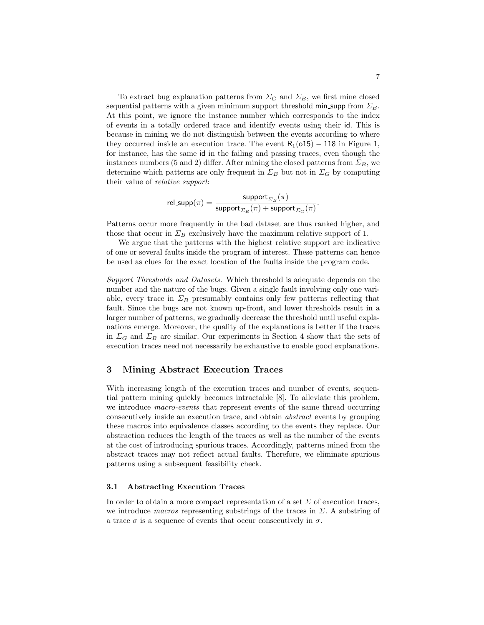To extract bug explanation patterns from  $\Sigma_G$  and  $\Sigma_B$ , we first mine closed sequential patterns with a given minimum support threshold min supp from  $\Sigma_B$ . At this point, we ignore the instance number which corresponds to the index of events in a totally ordered trace and identify events using their id. This is because in mining we do not distinguish between the events according to where they occurred inside an execution trace. The event  $R_1$ (o15) – 118 in Figure 1, for instance, has the same id in the failing and passing traces, even though the instances numbers (5 and 2) differ. After mining the closed patterns from  $\Sigma_B$ , we determine which patterns are only frequent in  $\Sigma_B$  but not in  $\Sigma_G$  by computing their value of relative support:

$$
\mathsf{rel\_supp}(\pi) = \frac{\mathsf{support}_{\varSigma_B}(\pi)}{\mathsf{support}_{\varSigma_B}(\pi) + \mathsf{support}_{\varSigma_G}(\pi)}.
$$

Patterns occur more frequently in the bad dataset are thus ranked higher, and those that occur in  $\Sigma_B$  exclusively have the maximum relative support of 1.

We argue that the patterns with the highest relative support are indicative of one or several faults inside the program of interest. These patterns can hence be used as clues for the exact location of the faults inside the program code.

Support Thresholds and Datasets. Which threshold is adequate depends on the number and the nature of the bugs. Given a single fault involving only one variable, every trace in  $\Sigma_B$  presumably contains only few patterns reflecting that fault. Since the bugs are not known up-front, and lower thresholds result in a larger number of patterns, we gradually decrease the threshold until useful explanations emerge. Moreover, the quality of the explanations is better if the traces in  $\Sigma_G$  and  $\Sigma_B$  are similar. Our experiments in Section 4 show that the sets of execution traces need not necessarily be exhaustive to enable good explanations.

## 3 Mining Abstract Execution Traces

With increasing length of the execution traces and number of events, sequential pattern mining quickly becomes intractable [8]. To alleviate this problem, we introduce *macro-events* that represent events of the same thread occurring consecutively inside an execution trace, and obtain abstract events by grouping these macros into equivalence classes according to the events they replace. Our abstraction reduces the length of the traces as well as the number of the events at the cost of introducing spurious traces. Accordingly, patterns mined from the abstract traces may not reflect actual faults. Therefore, we eliminate spurious patterns using a subsequent feasibility check.

#### 3.1 Abstracting Execution Traces

In order to obtain a more compact representation of a set  $\Sigma$  of execution traces, we introduce *macros* representing substrings of the traces in  $\Sigma$ . A substring of a trace  $\sigma$  is a sequence of events that occur consecutively in  $\sigma$ .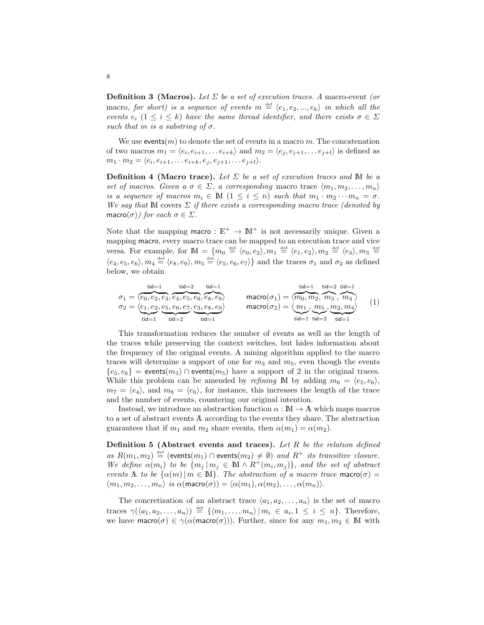**Definition 3 (Macros).** Let  $\Sigma$  be a set of execution traces. A macro-event (or macro, for short) is a sequence of events  $m \stackrel{\text{def}}{=} \langle e_1, e_2, ..., e_k \rangle$  in which all the events  $e_i$   $(1 \leq i \leq k)$  have the same thread identifier, and there exists  $\sigma \in \Sigma$ such that m is a substring of  $\sigma$ .

We use events $(m)$  to denote the set of events in a macro m. The concatenation of two macros  $m_1 = \langle e_i, e_{i+1}, \ldots e_{i+k} \rangle$  and  $m_2 = \langle e_j, e_{j+1}, \ldots e_{j+l} \rangle$  is defined as  $m_1 \cdot m_2 = \langle e_i, e_{i+1}, \ldots e_{i+k}, e_j, e_{j+1}, \ldots e_{j+l} \rangle.$ 

**Definition 4 (Macro trace).** Let  $\Sigma$  be a set of execution traces and M be a set of macros. Given  $a \sigma \in \Sigma$ , a corresponding macro trace  $\langle m_1, m_2, \ldots, m_n \rangle$ is a sequence of macros  $m_i \in \mathbb{M}$   $(1 \leq i \leq n)$  such that  $m_1 \cdot m_2 \cdots m_n = \sigma$ . We say that M covers  $\Sigma$  if there exists a corresponding macro trace (denoted by macro( $\sigma$ )) for each  $\sigma \in \Sigma$ .

Note that the mapping macro :  $\mathbb{E}^+ \to \mathbb{M}^+$  is not necessarily unique. Given a mapping macro, every macro trace can be mapped to an execution trace and vice versa. For example, for  $\mathbb{M} = \{m_0 \stackrel{\text{def}}{=} \langle e_0, e_2 \rangle, m_1 \stackrel{\text{def}}{=} \langle e_1, e_2 \rangle, m_2 \stackrel{\text{def}}{=} \langle e_3 \rangle, m_3 \stackrel{\text{def}}{=}$  $\langle e_4, e_5, e_6 \rangle, m_4 \stackrel{\text{def}}{=} \langle e_8, e_9 \rangle, m_5 \stackrel{\text{def}}{=} \langle e_5, e_6, e_7 \rangle$  and the traces  $\sigma_1$  and  $\sigma_2$  as defined below, we obtain

$$
\sigma_1 = \langle \overbrace{e_0, e_2, e_3}^{tid=1}, \overbrace{e_4, e_5, e_6, e_7}^{tid=2}, \overbrace{e_5, e_6, e_7}^{tid=1}, \overbrace{e_3, e_8, e_9}^{tid=1} \rangle \newline \text{macro}(\sigma_1) = \langle \overbrace{m_0, m_2}^{tid=1}, \overbrace{m_3, m_4}^{tid=2} \rangle \newline \overbrace{m_1, m_5, m_2, m_4}^{tid=1} \rangle \newline \hspace{1cm} (1)
$$

This transformation reduces the number of events as well as the length of the traces while preserving the context switches, but hides information about the frequency of the original events. A mining algorithm applied to the macro traces will determine a support of one for  $m_3$  and  $m_5$ , even though the events  ${e_5, e_6}$  = events( $m_3$ )  $\cap$  events( $m_5$ ) have a support of 2 in the original traces. While this problem can be amended by *refining* M by adding  $m_6 = \langle e_5, e_6 \rangle$ ,  $m_7 = \langle e_4 \rangle$ , and  $m_8 = \langle e_6 \rangle$ , for instance, this increases the length of the trace and the number of events, countering our original intention.

Instead, we introduce an abstraction function  $\alpha : \mathbb{M} \to \mathbb{A}$  which maps macros to a set of abstract events A according to the events they share. The abstraction guarantees that if  $m_1$  and  $m_2$  share events, then  $\alpha(m_1) = \alpha(m_2)$ .

**Definition 5 (Abstract events and traces).** Let  $R$  be the relation defined as  $R(m_1, m_2) \stackrel{\text{def}}{=}$  (events $(m_1) \cap$  events $(m_2) \neq \emptyset$ ) and  $R^+$  its transitive closure. We define  $\alpha(m_i)$  to be  $\{m_j | m_j \in \mathbb{N} \wedge R^+(m_i, m_j)\}$ , and the set of abstract events A to be  $\{\alpha(m) \mid m \in \mathbb{M}\}\$ . The abstraction of a macro trace macro $(\sigma)$  =  $\langle m_1, m_2, \ldots, m_n \rangle$  is  $\alpha(\text{macro}(\sigma)) = \langle \alpha(m_1), \alpha(m_2), \ldots, \alpha(m_n) \rangle$ .

The concretization of an abstract trace  $\langle a_1, a_2, \ldots, a_n \rangle$  is the set of macro traces  $\gamma(\langle a_1, a_2, \ldots, a_n \rangle) \stackrel{\text{def}}{=} {\{\langle m_1, \ldots, m_n \rangle | m_i \in a_i, 1 \le i \le n\}.$  Therefore, we have macro $(\sigma) \in \gamma(\alpha(\text{macro}(\sigma)))$ . Further, since for any  $m_1, m_2 \in \mathbb{M}$  with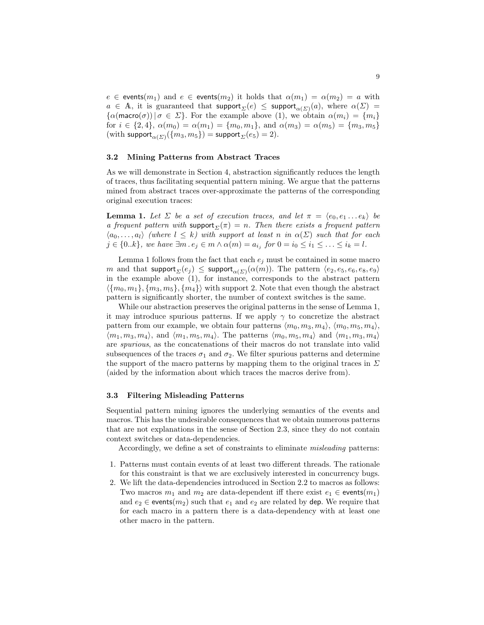$e \in$  events( $m_1$ ) and  $e \in$  events( $m_2$ ) it holds that  $\alpha(m_1) = \alpha(m_2) = a$  with  $a \in A$ , it is guaranteed that support<sub> $\mathcal{L}(e) \leq$  support $\mathcal{L}(\mathcal{L})(a)$ , where  $\alpha(\mathcal{L}) =$ </sub>  $\{\alpha(\text{macro}(\sigma))|\sigma \in \Sigma\}$ . For the example above (1), we obtain  $\alpha(m_i) = \{m_i\}$ for  $i \in \{2,4\}, \ \alpha(m_0) = \alpha(m_1) = \{m_0, m_1\}, \text{ and } \alpha(m_3) = \alpha(m_5) = \{m_3, m_5\}$ (with  $\textsf{support}_{\alpha(\varSigma)}(\{m_3,m_5\}) = \textsf{support}_{\varSigma}(e_5) = 2).$ 

#### 3.2 Mining Patterns from Abstract Traces

As we will demonstrate in Section 4, abstraction significantly reduces the length of traces, thus facilitating sequential pattern mining. We argue that the patterns mined from abstract traces over-approximate the patterns of the corresponding original execution traces:

**Lemma 1.** Let  $\Sigma$  be a set of execution traces, and let  $\pi = \langle e_0, e_1 \dots e_k \rangle$  be a frequent pattern with support<sub> $\Sigma(\pi) = n$ . Then there exists a frequent pattern</sub>  $\langle a_0, \ldots, a_l \rangle$  (where  $l \leq k$ ) with support at least n in  $\alpha(\Sigma)$  such that for each  $j \in \{0..k\},\;we\;have\;\exists m\;.\;e_j \in m \wedge \alpha(m) = a_{i_j}\;for\;0 = i_0 \leq i_1 \leq \ldots \leq i_k = l.$ 

Lemma 1 follows from the fact that each  $e_j$  must be contained in some macro m and that  $\mathsf{support}_\Sigma(e_j) \leq \mathsf{support}_{\alpha(\Sigma)}(\alpha(m))$ . The pattern  $\langle e_2, e_5, e_6, e_8, e_9 \rangle$ in the example above (1), for instance, corresponds to the abstract pattern  $\langle \{m_0, m_1\}, \{m_3, m_5\}, \{m_4\} \rangle$  with support 2. Note that even though the abstract pattern is significantly shorter, the number of context switches is the same.

While our abstraction preserves the original patterns in the sense of Lemma 1, it may introduce spurious patterns. If we apply  $\gamma$  to concretize the abstract pattern from our example, we obtain four patterns  $\langle m_0, m_3, m_4 \rangle$ ,  $\langle m_0, m_5, m_4 \rangle$ ,  $\langle m_1, m_3, m_4 \rangle$ , and  $\langle m_1, m_5, m_4 \rangle$ . The patterns  $\langle m_0, m_5, m_4 \rangle$  and  $\langle m_1, m_3, m_4 \rangle$ are spurious, as the concatenations of their macros do not translate into valid subsequences of the traces  $\sigma_1$  and  $\sigma_2$ . We filter spurious patterns and determine the support of the macro patterns by mapping them to the original traces in  $\Sigma$ (aided by the information about which traces the macros derive from).

#### 3.3 Filtering Misleading Patterns

Sequential pattern mining ignores the underlying semantics of the events and macros. This has the undesirable consequences that we obtain numerous patterns that are not explanations in the sense of Section 2.3, since they do not contain context switches or data-dependencies.

Accordingly, we define a set of constraints to eliminate misleading patterns:

- 1. Patterns must contain events of at least two different threads. The rationale for this constraint is that we are exclusively interested in concurrency bugs.
- 2. We lift the data-dependencies introduced in Section 2.2 to macros as follows: Two macros  $m_1$  and  $m_2$  are data-dependent iff there exist  $e_1 \in \text{events}(m_1)$ and  $e_2 \in \text{events}(m_2)$  such that  $e_1$  and  $e_2$  are related by dep. We require that for each macro in a pattern there is a data-dependency with at least one other macro in the pattern.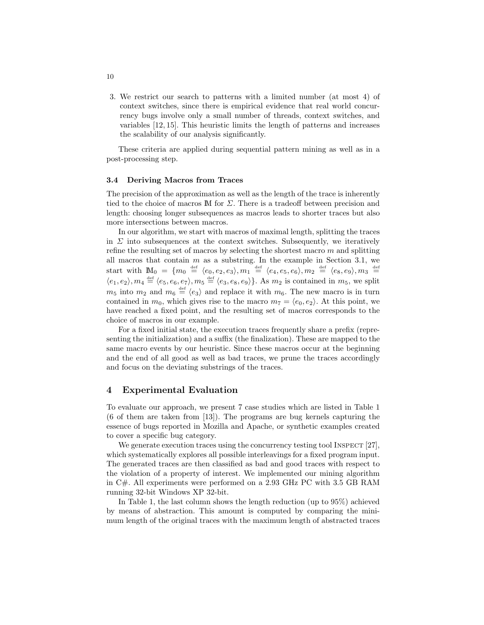3. We restrict our search to patterns with a limited number (at most 4) of context switches, since there is empirical evidence that real world concurrency bugs involve only a small number of threads, context switches, and variables [12, 15]. This heuristic limits the length of patterns and increases the scalability of our analysis significantly.

These criteria are applied during sequential pattern mining as well as in a post-processing step.

#### 3.4 Deriving Macros from Traces

The precision of the approximation as well as the length of the trace is inherently tied to the choice of macros M for  $\Sigma$ . There is a tradeoff between precision and length: choosing longer subsequences as macros leads to shorter traces but also more intersections between macros.

In our algorithm, we start with macros of maximal length, splitting the traces in  $\Sigma$  into subsequences at the context switches. Subsequently, we iteratively refine the resulting set of macros by selecting the shortest macro  $m$  and splitting all macros that contain  $m$  as a substring. In the example in Section 3.1, we start with  $\mathbb{M}_0 = \{m_0 \stackrel{\text{def}}{=} \langle e_0, e_2, e_3 \rangle, m_1 \stackrel{\text{def}}{=} \langle e_4, e_5, e_6 \rangle, m_2 \stackrel{\text{def}}{=} \langle e_8, e_9 \rangle, m_3 \stackrel{\text{def}}{=}$  $\langle e_1, e_2 \rangle$ ,  $m_4 \stackrel{\text{def}}{=} \langle e_5, e_6, e_7 \rangle$ ,  $m_5 \stackrel{\text{def}}{=} \langle e_3, e_8, e_9 \rangle$ . As  $m_2$  is contained in  $m_5$ , we split  $m_5$  into  $m_2$  and  $m_6 \stackrel{\text{def}}{=} \langle e_3 \rangle$  and replace it with  $m_6$ . The new macro is in turn contained in  $m_0$ , which gives rise to the macro  $m_7 = \langle e_0, e_2 \rangle$ . At this point, we have reached a fixed point, and the resulting set of macros corresponds to the choice of macros in our example.

For a fixed initial state, the execution traces frequently share a prefix (representing the initialization) and a suffix (the finalization). These are mapped to the same macro events by our heuristic. Since these macros occur at the beginning and the end of all good as well as bad traces, we prune the traces accordingly and focus on the deviating substrings of the traces.

## 4 Experimental Evaluation

To evaluate our approach, we present 7 case studies which are listed in Table 1 (6 of them are taken from [13]). The programs are bug kernels capturing the essence of bugs reported in Mozilla and Apache, or synthetic examples created to cover a specific bug category.

We generate execution traces using the concurrency testing tool INSPECT [27], which systematically explores all possible interleavings for a fixed program input. The generated traces are then classified as bad and good traces with respect to the violation of a property of interest. We implemented our mining algorithm in C#. All experiments were performed on a 2.93 GHz PC with 3.5 GB RAM running 32-bit Windows XP 32-bit.

In Table 1, the last column shows the length reduction (up to 95%) achieved by means of abstraction. This amount is computed by comparing the minimum length of the original traces with the maximum length of abstracted traces

10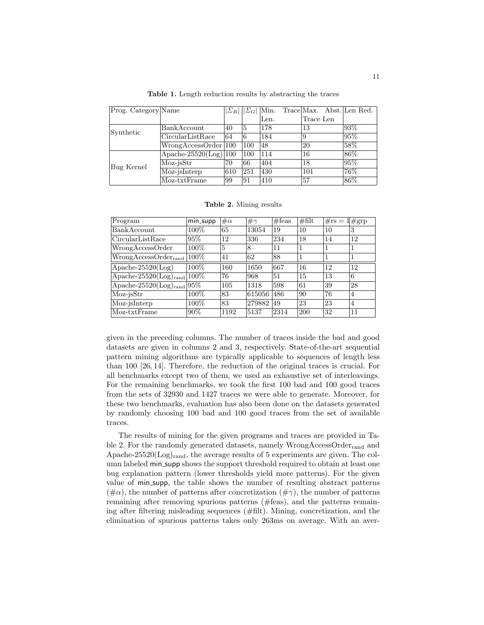| Prog. Category Name |                        |     | $ \Sigma_B    \Sigma_G $   Min. |      | Trace Max. Abst. Len Red. |        |
|---------------------|------------------------|-----|---------------------------------|------|---------------------------|--------|
|                     |                        |     |                                 | Len. | Trace Len                 |        |
| Synthetic           | BankAccount            | 40  | 5                               | 178  | 13                        | 93%    |
|                     | CircularList Race      | 64  | 6                               | 184  | 9                         | 95%    |
|                     | WrongAccessOrder   100 |     | 100                             | 48   | 20                        | 58%    |
| Bug Kernel          | Apache-25520(Log) 100  |     | 100                             | 114  | 16                        | 86\%   |
|                     | Moz-jsStr              | 70  | 66                              | 404  | 18                        | $95\%$ |
|                     | Moz-jsInterp           | 610 | 251                             | 430  | 101                       | 76%    |
|                     | Moz-txtFrame           | 99  | 91                              | 410  | 57                        | 86\%   |

Table 1. Length reduction results by abstracting the traces

|  |  | <b>Table 2.</b> Mining results |  |
|--|--|--------------------------------|--|
|--|--|--------------------------------|--|

| Program                                                                       | min_supp | $\#\alpha$ | $\#\gamma$ | #feas | $#$ filt | $\#rs =$ | $#$ grp        |
|-------------------------------------------------------------------------------|----------|------------|------------|-------|----------|----------|----------------|
| BankAccount                                                                   | 100%     | 65         | 13054      | 19    | 10       | 10       | 3              |
| CircularListRace                                                              | 95%      | 12         | 336        | 234   | 18       | 14       | 12             |
| WrongAccessOrder                                                              | 100\%    | 5          | 8          | 11    |          |          | 1              |
| WrongAccessOrder <sub>rand</sub>                                              | 100\%    | 41         | 62         | 88    |          |          |                |
| Apache-25520 $(Log)$                                                          | 100\%    | 160        | 1650       | 667   | 16       | 12       | 12             |
| $\overline{\text{Apache-}25520(\text{Log})_{\text{rand}}}$ 100%               |          | 76         | 968        | 51    | 15       | 13       | 6              |
| Apache-25520 $\overline{\text{Log}}$ <sub>rand</sub> $\overline{\text{95\%}}$ |          | 105        | 1318       | 598   | 61       | 39       | 28             |
| $Moz$ -js $Str$                                                               | 100%     | 83         | 615056     | 486   | 90       | 76       | $\overline{4}$ |
| Moz-isInterp                                                                  | 100%     | 83         | 279882     | 49    | 23       | 23       | $\overline{4}$ |
| Moz-txtFrame                                                                  | $90\%$   | 1192       | 5137       | 2314  | 200      | 32       | 11             |

given in the preceding columns. The number of traces inside the bad and good datasets are given in columns 2 and 3, respectively. State-of-the-art sequential pattern mining algorithms are typically applicable to sequences of length less than 100 [26, 14]. Therefore, the reduction of the original traces is crucial. For all benchmarks except two of them, we used an exhaustive set of interleavings. For the remaining benchmarks, we took the first 100 bad and 100 good traces from the sets of 32930 and 1427 traces we were able to generate. Moreover, for these two benchmarks, evaluation has also been done on the datasets generated by randomly choosing 100 bad and 100 good traces from the set of available traces.

The results of mining for the given programs and traces are provided in Table 2. For the randomly generated datasets, namely WrongAccessOrder<sub>rand</sub> and Apache-25520( $Log$ <sub>rand</sub>, the average results of 5 experiments are given. The column labeled min\_supp shows the support threshold required to obtain at least one bug explanation pattern (lower thresholds yield more patterns). For the given value of min supp, the table shows the number of resulting abstract patterns  $(\text{#}\alpha)$ , the number of patterns after concretization  $(\text{#}\gamma)$ , the number of patterns remaining after removing spurious patterns  $(\#feas)$ , and the patterns remaining after filtering misleading sequences (#filt). Mining, concretization, and the elimination of spurious patterns takes only 263ms on average. With an aver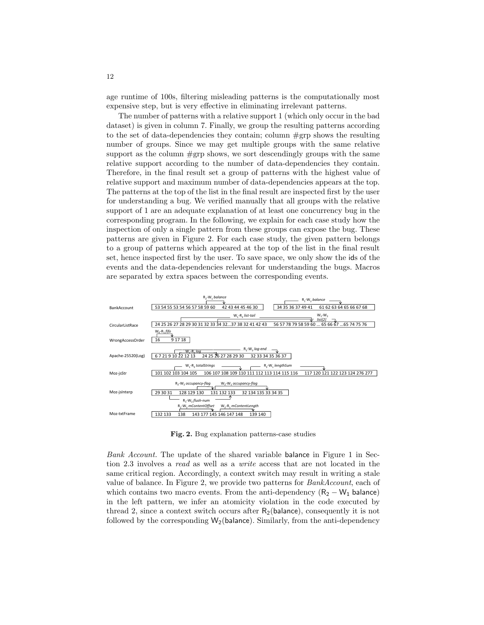age runtime of 100s, filtering misleading patterns is the computationally most expensive step, but is very effective in eliminating irrelevant patterns.

The number of patterns with a relative support 1 (which only occur in the bad dataset) is given in column 7. Finally, we group the resulting patterns according to the set of data-dependencies they contain; column #grp shows the resulting number of groups. Since we may get multiple groups with the same relative support as the column  $\#\text{grp}$  shows, we sort descendingly groups with the same relative support according to the number of data-dependencies they contain. Therefore, in the final result set a group of patterns with the highest value of relative support and maximum number of data-dependencies appears at the top. The patterns at the top of the list in the final result are inspected first by the user for understanding a bug. We verified manually that all groups with the relative support of 1 are an adequate explanation of at least one concurrency bug in the corresponding program. In the following, we explain for each case study how the inspection of only a single pattern from these groups can expose the bug. These patterns are given in Figure 2. For each case study, the given pattern belongs to a group of patterns which appeared at the top of the list in the final result set, hence inspected first by the user. To save space, we only show the ids of the events and the data-dependencies relevant for understanding the bugs. Macros are separated by extra spaces between the corresponding events.



Fig. 2. Bug explanation patterns-case studies

Bank Account. The update of the shared variable balance in Figure 1 in Section 2.3 involves a read as well as a write access that are not located in the same critical region. Accordingly, a context switch may result in writing a stale value of balance. In Figure 2, we provide two patterns for BankAccount, each of which contains two macro events. From the anti-dependency  $(R_2 - W_1)$  balance) in the left pattern, we infer an atomicity violation in the code executed by thread 2, since a context switch occurs after  $R_2$ (balance), consequently it is not followed by the corresponding  $W_2$ (balance). Similarly, from the anti-dependency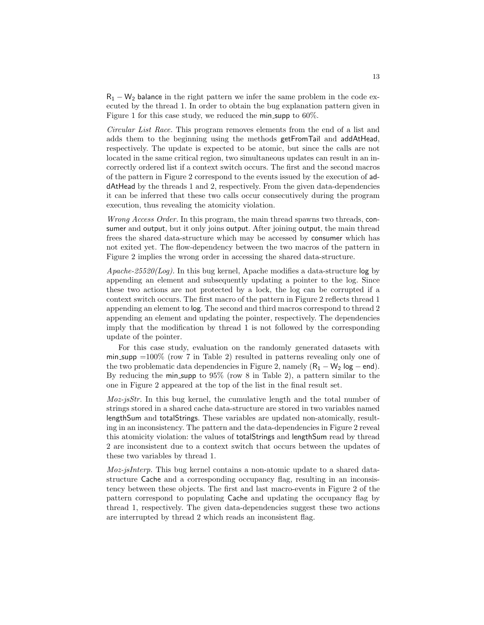$R_1 - W_2$  balance in the right pattern we infer the same problem in the code executed by the thread 1. In order to obtain the bug explanation pattern given in Figure 1 for this case study, we reduced the min-supp to 60%.

Circular List Race. This program removes elements from the end of a list and adds them to the beginning using the methods getFromTail and addAtHead, respectively. The update is expected to be atomic, but since the calls are not located in the same critical region, two simultaneous updates can result in an incorrectly ordered list if a context switch occurs. The first and the second macros of the pattern in Figure 2 correspond to the events issued by the execution of addAtHead by the threads 1 and 2, respectively. From the given data-dependencies it can be inferred that these two calls occur consecutively during the program execution, thus revealing the atomicity violation.

Wrong Access Order. In this program, the main thread spawns two threads, consumer and output, but it only joins output. After joining output, the main thread frees the shared data-structure which may be accessed by consumer which has not exited yet. The flow-dependency between the two macros of the pattern in Figure 2 implies the wrong order in accessing the shared data-structure.

 $A$ *pache-25520(Log)*. In this bug kernel, Apache modifies a data-structure log by appending an element and subsequently updating a pointer to the log. Since these two actions are not protected by a lock, the log can be corrupted if a context switch occurs. The first macro of the pattern in Figure 2 reflects thread 1 appending an element to log. The second and third macros correspond to thread 2 appending an element and updating the pointer, respectively. The dependencies imply that the modification by thread 1 is not followed by the corresponding update of the pointer.

For this case study, evaluation on the randomly generated datasets with min supp  $=100\%$  (row 7 in Table 2) resulted in patterns revealing only one of the two problematic data dependencies in Figure 2, namely  $(R_1 - W_2 \log - \text{end}).$ By reducing the min supp to  $95\%$  (row 8 in Table 2), a pattern similar to the one in Figure 2 appeared at the top of the list in the final result set.

Moz-jsStr. In this bug kernel, the cumulative length and the total number of strings stored in a shared cache data-structure are stored in two variables named lengthSum and totalStrings. These variables are updated non-atomically, resulting in an inconsistency. The pattern and the data-dependencies in Figure 2 reveal this atomicity violation: the values of totalStrings and lengthSum read by thread 2 are inconsistent due to a context switch that occurs between the updates of these two variables by thread 1.

Moz-jsInterp. This bug kernel contains a non-atomic update to a shared datastructure Cache and a corresponding occupancy flag, resulting in an inconsistency between these objects. The first and last macro-events in Figure 2 of the pattern correspond to populating Cache and updating the occupancy flag by thread 1, respectively. The given data-dependencies suggest these two actions are interrupted by thread 2 which reads an inconsistent flag.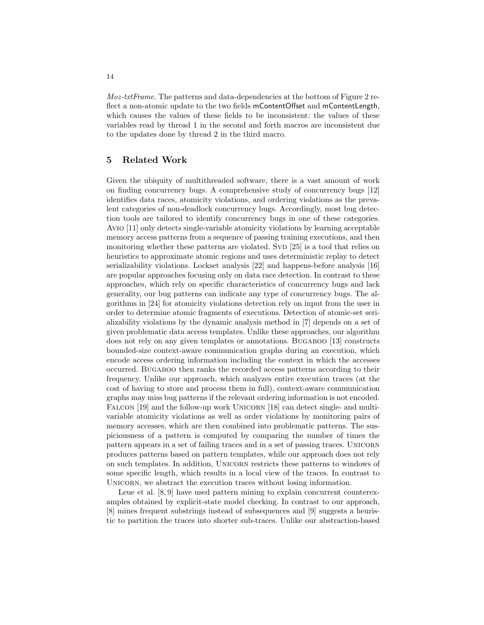Moz-txtFrame. The patterns and data-dependencies at the bottom of Figure 2 reflect a non-atomic update to the two fields mContentOffset and mContentLength, which causes the values of these fields to be inconsistent: the values of these variables read by thread 1 in the second and forth macros are inconsistent due to the updates done by thread 2 in the third macro.

# 5 Related Work

Given the ubiquity of multithreaded software, there is a vast amount of work on finding concurrency bugs. A comprehensive study of concurrency bugs [12] identifies data races, atomicity violations, and ordering violations as the prevalent categories of non-deadlock concurrency bugs. Accordingly, most bug detection tools are tailored to identify concurrency bugs in one of these categories. Avio [11] only detects single-variable atomicity violations by learning acceptable memory access patterns from a sequence of passing training executions, and then monitoring whether these patterns are violated. SvD  $[25]$  is a tool that relies on heuristics to approximate atomic regions and uses deterministic replay to detect serializability violations. Lockset analysis [22] and happens-before analysis [16] are popular approaches focusing only on data race detection. In contrast to these approaches, which rely on specific characteristics of concurrency bugs and lack generality, our bug patterns can indicate any type of concurrency bugs. The algorithms in [24] for atomicity violations detection rely on input from the user in order to determine atomic fragments of executions. Detection of atomic-set serializability violations by the dynamic analysis method in [7] depends on a set of given problematic data access templates. Unlike these approaches, our algorithm does not rely on any given templates or annotations. Bugaboo [13] constructs bounded-size context-aware communication graphs during an execution, which encode access ordering information including the context in which the accesses occurred. Bugaboo then ranks the recorded access patterns according to their frequency. Unlike our approach, which analyzes entire execution traces (at the cost of having to store and process them in full), context-aware communication graphs may miss bug patterns if the relevant ordering information is not encoded. FALCON [19] and the follow-up work UNICORN [18] can detect single- and multivariable atomicity violations as well as order violations by monitoring pairs of memory accesses, which are then combined into problematic patterns. The suspiciousness of a pattern is computed by comparing the number of times the pattern appears in a set of failing traces and in a set of passing traces. Unicorn produces patterns based on pattern templates, while our approach does not rely on such templates. In addition, Unicorn restricts these patterns to windows of some specific length, which results in a local view of the traces. In contrast to UNICORN, we abstract the execution traces without losing information.

Leue et al. [8, 9] have used pattern mining to explain concurrent counterexamples obtained by explicit-state model checking. In contrast to our approach, [8] mines frequent substrings instead of subsequences and [9] suggests a heuristic to partition the traces into shorter sub-traces. Unlike our abstraction-based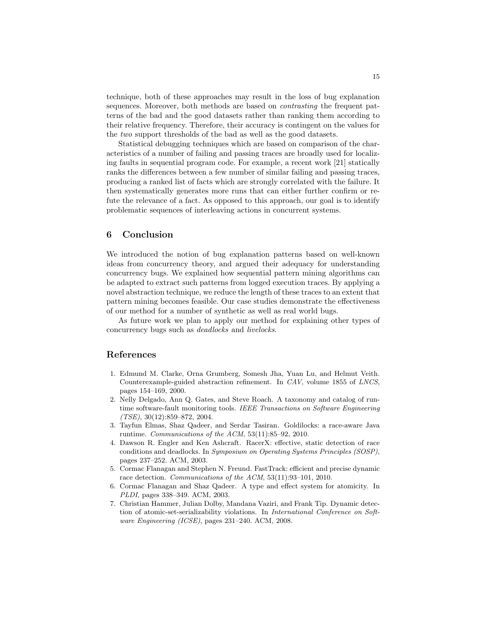technique, both of these approaches may result in the loss of bug explanation sequences. Moreover, both methods are based on *contrasting* the frequent patterns of the bad and the good datasets rather than ranking them according to their relative frequency. Therefore, their accuracy is contingent on the values for the two support thresholds of the bad as well as the good datasets.

Statistical debugging techniques which are based on comparison of the characteristics of a number of failing and passing traces are broadly used for localizing faults in sequential program code. For example, a recent work [21] statically ranks the differences between a few number of similar failing and passing traces, producing a ranked list of facts which are strongly correlated with the failure. It then systematically generates more runs that can either further confirm or refute the relevance of a fact. As opposed to this approach, our goal is to identify problematic sequences of interleaving actions in concurrent systems.

## 6 Conclusion

We introduced the notion of bug explanation patterns based on well-known ideas from concurrency theory, and argued their adequacy for understanding concurrency bugs. We explained how sequential pattern mining algorithms can be adapted to extract such patterns from logged execution traces. By applying a novel abstraction technique, we reduce the length of these traces to an extent that pattern mining becomes feasible. Our case studies demonstrate the effectiveness of our method for a number of synthetic as well as real world bugs.

As future work we plan to apply our method for explaining other types of concurrency bugs such as deadlocks and livelocks.

## References

- 1. Edmund M. Clarke, Orna Grumberg, Somesh Jha, Yuan Lu, and Helmut Veith. Counterexample-guided abstraction refinement. In CAV, volume 1855 of LNCS, pages 154–169, 2000.
- 2. Nelly Delgado, Ann Q. Gates, and Steve Roach. A taxonomy and catalog of runtime software-fault monitoring tools. IEEE Transactions on Software Engineering (TSE), 30(12):859–872, 2004.
- 3. Tayfun Elmas, Shaz Qadeer, and Serdar Tasiran. Goldilocks: a race-aware Java runtime. Communications of the ACM, 53(11):85–92, 2010.
- 4. Dawson R. Engler and Ken Ashcraft. RacerX: effective, static detection of race conditions and deadlocks. In Symposium on Operating Systems Principles (SOSP), pages 237–252. ACM, 2003.
- 5. Cormac Flanagan and Stephen N. Freund. FastTrack: efficient and precise dynamic race detection. Communications of the ACM, 53(11):93–101, 2010.
- 6. Cormac Flanagan and Shaz Qadeer. A type and effect system for atomicity. In PLDI, pages 338–349. ACM, 2003.
- 7. Christian Hammer, Julian Dolby, Mandana Vaziri, and Frank Tip. Dynamic detection of atomic-set-serializability violations. In International Conference on Software Engineering (ICSE), pages 231–240. ACM, 2008.